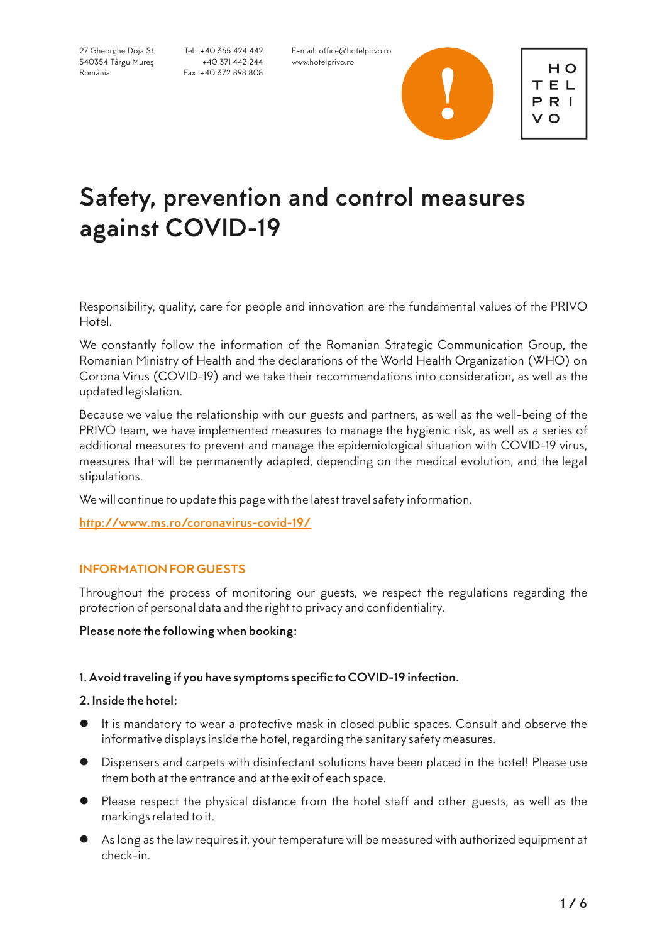Tel.: +40 365 424 442 +40 371 442 244 Fax: +40 372 898 808 E-mail: office@hotelprivo.ro www.hotelprivo.ro



H O TEL PRI

# **Safety, prevention and control measures against COVID-19**

Responsibility, quality, care for people and innovation are the fundamental values of the PRIVO Hotel.

We constantly follow the information of the Romanian Strategic Communication Group, the Romanian Ministry of Health and the declarations of the World Health Organization (WHO) on Corona Virus (COVID-19) and we take their recommendations into consideration, as well as the updated legislation.

Because we value the relationship with our guests and partners, as well as the well-being of the PRIVO team, we have implemented measures to manage the hygienic risk, as well as a series of additional measures to prevent and manage the epidemiological situation with COVID-19 virus, measures that will be permanently adapted, depending on the medical evolution, and the legal stipulations.

We will continue to update this page with the latest travel safety information.

**http://www.ms.ro/coronavirus-covid-19/**

### **INFORMATION FOR GUESTS**

Throughout the process of monitoring our guests, we respect the regulations regarding the protection of personal data and the right to privacy and confidentiality.

#### **Please note the following when booking:**

### **1. Avoid traveling if you have symptoms specific to COVID-19 infection.**

#### **2. Inside the hotel:**

- **•** It is mandatory to wear a protective mask in closed public spaces. Consult and observe the informative displays inside the hotel, regarding the sanitary safety measures.
- **•** Dispensers and carpets with disinfectant solutions have been placed in the hotel! Please use them both at the entrance and at the exit of each space.
- Please respect the physical distance from the hotel staff and other guests, as well as the markings related to it.
- $\bullet$  As long as the law requires it, your temperature will be measured with authorized equipment at . check-in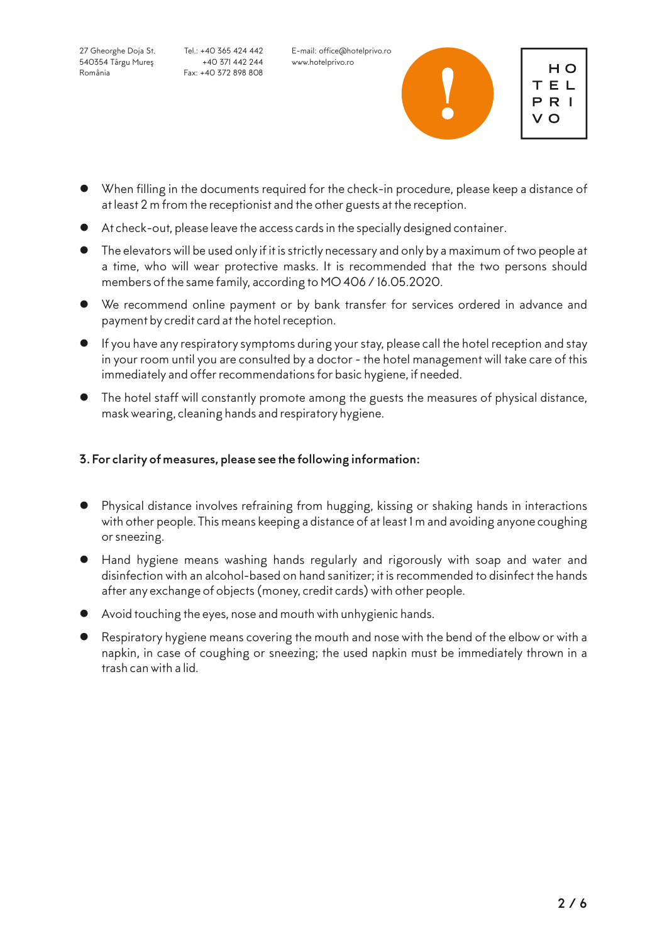Tel.: +40 365 424 442 +40 371 442 244 Fax: +40 372 898 808

E-mail: office@hotelprivo.ro www.hotelprivo.ro



H O TEL PRI

- l When filling in the documents required for the check-in procedure, please keep a distance of at least 2 m from the receptionist and the other guests at the reception.
- $\bullet$  At check-out, please leave the access cards in the specially designed container.
- **The elevators will be used only if it is strictly necessary and only by a maximum of two people at** a time, who will wear protective masks. It is recommended that the two persons should members of the same family, according to MO 406 / 16.05.2020.
- We recommend online payment or by bank transfer for services ordered in advance and payment by credit card at the hotel reception.
- **If you have any respiratory symptoms during your stay, please call the hotel reception and stay** in your room until you are consulted by a doctor - the hotel management will take care of this immediately and offer recommendations for basic hygiene, if needed.
- The hotel staff will constantly promote among the guests the measures of physical distance, mask wearing, cleaning hands and respiratory hygiene.

# **3. For clarity of measures, please see the following information:**

- Physical distance involves refraining from hugging, kissing or shaking hands in interactions with other people. This means keeping a distance of at least 1 m and avoiding anyone coughing or sneezing.
- **•** Hand hygiene means washing hands regularly and rigorously with soap and water and disinfection with an alcohol-based on hand sanitizer; it is recommended to disinfect the hands after any exchange of objects (money, credit cards) with other people.
- **•** Avoid touching the eyes, nose and mouth with unhygienic hands.
- l Respiratory hygiene means covering the mouth and nose with the bend of the elbow or with a napkin, in case of coughing or sneezing; the used napkin must be immediately thrown in a trash can with a lid.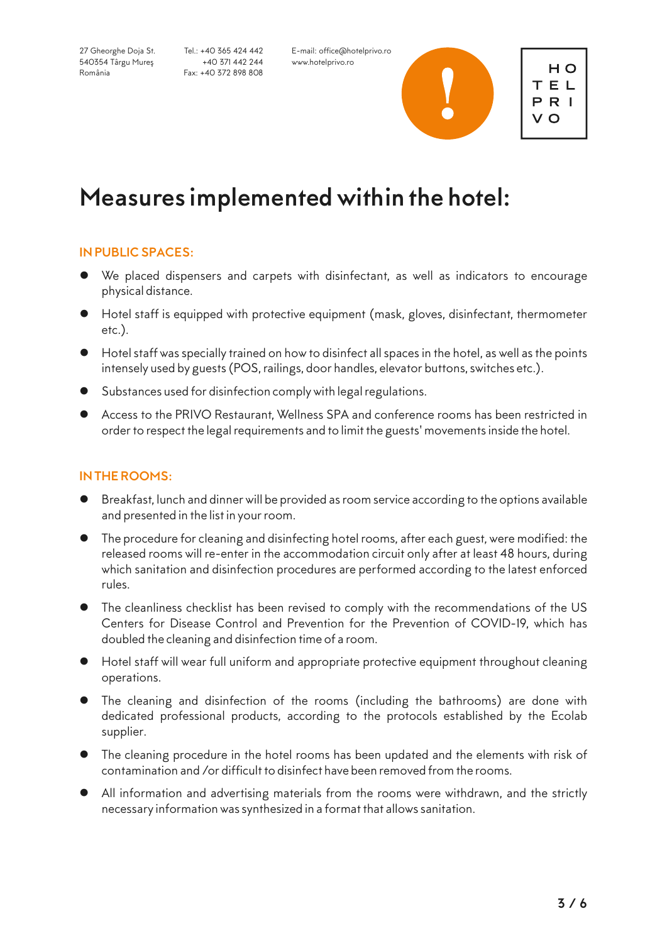Tel.: +40 365 424 442 +40 371 442 244 Fax: +40 372 898 808 E-mail: office@hotelprivo.ro www.hotelprivo.ro

# **Measures implemented within the hotel:**

### **IN PUBLIC SPACES:**

- $\bullet$  We placed dispensers and carpets with disinfectant, as well as indicators to encourage physical distance.
- $\bullet$  Hotel staff is equipped with protective equipment (mask, gloves, disinfectant, thermometer etc.).
- $\bullet$  Hotel staff was specially trained on how to disinfect all spaces in the hotel, as well as the points intensely used by guests (POS, railings, door handles, elevator buttons, switches etc.).
- $\bullet$  Substances used for disinfection comply with legal regulations.
- **•** Access to the PRIVO Restaurant, Wellness SPA and conference rooms has been restricted in order to respect the legal requirements and to limit the guests' movements inside the hotel.

### **IN THE ROOMS:**

- l Breakfast, lunch and dinner will be provided as room service according to the options available and presented in the list in your room.
- l The procedure for cleaning and disinfecting hotel rooms, after each guest, were modified: the released rooms will re-enter in the accommodation circuit only after at least 48 hours, during which sanitation and disinfection procedures are performed according to the latest enforced rules.
- **•** The cleanliness checklist has been revised to comply with the recommendations of the US Centers for Disease Control and Prevention for the Prevention of COVID-19, which has doubled the cleaning and disinfection time of a room.
- **•** Hotel staff will wear full uniform and appropriate protective equipment throughout cleaning operations.
- The cleaning and disinfection of the rooms (including the bathrooms) are done with dedicated professional products, according to the protocols established by the Ecolab supplier.
- The cleaning procedure in the hotel rooms has been updated and the elements with risk of contamination and /or difficult to disinfect have been removed from the rooms.
- All information and advertising materials from the rooms were withdrawn, and the strictly necessary information was synthesized in a format that allows sanitation.

H O TEL PRI V O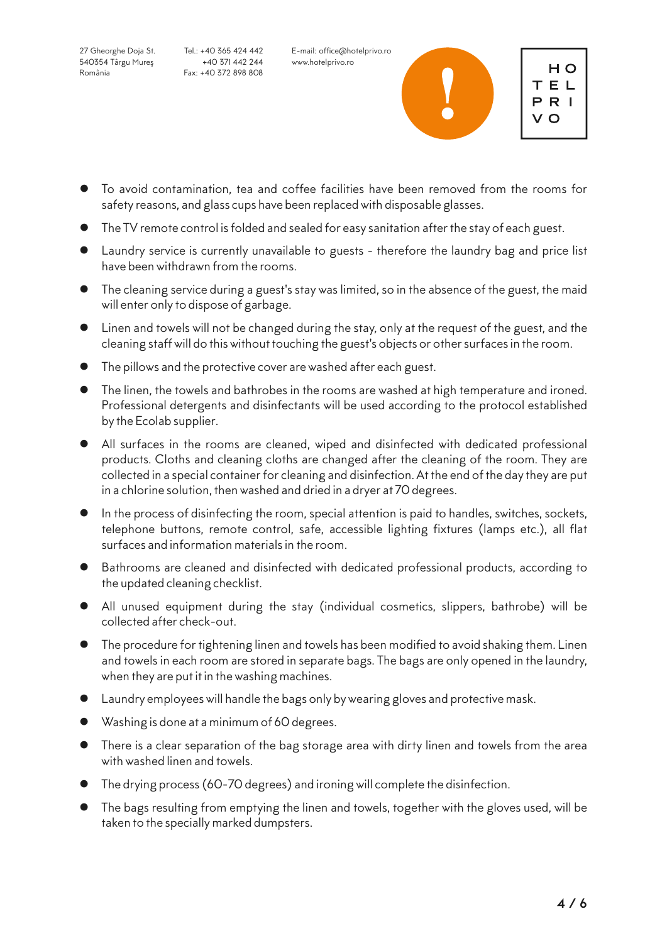Tel.: +40 365 424 442 +40 371 442 244 Fax: +40 372 898 808 E-mail: office@hotelprivo.ro www.hotelprivo.ro



TEL PRI

H O

- $\bullet$  To avoid contamination, tea and coffee facilities have been removed from the rooms for safety reasons, and glass cups have been replaced with disposable glasses.
- $\bullet$  The TV remote control is folded and sealed for easy sanitation after the stay of each guest.
- Laundry service is currently unavailable to guests therefore the laundry bag and price list have been withdrawn from the rooms.
- **The cleaning service during a guest's stay was limited, so in the absence of the guest, the maid** will enter only to dispose of garbage.
- **I.** Linen and towels will not be changed during the stay, only at the request of the guest, and the cleaning staff will do this without touching the guest's objects or other surfaces in the room.
- The pillows and the protective cover are washed after each guest.
- **The linen, the towels and bathrobes in the rooms are washed at high temperature and ironed.** Professional detergents and disinfectants will be used according to the protocol established by the Ecolab supplier.
- All surfaces in the rooms are cleaned, wiped and disinfected with dedicated professional products. Cloths and cleaning cloths are changed after the cleaning of the room. They are collected in a special container for cleaning and disinfection. At the end of the day they are put in a chlorine solution, then washed and dried in a dryer at 70 degrees.
- $\bullet$  In the process of disinfecting the room, special attention is paid to handles, switches, sockets, telephone buttons, remote control, safe, accessible lighting fixtures (lamps etc.), all flat surfaces and information materials in the room.
- **Bathrooms are cleaned and disinfected with dedicated professional products, according to** the updated cleaning checklist.
- All unused equipment during the stay (individual cosmetics, slippers, bathrobe) will be collected after check-out.
- **The procedure for tightening linen and towels has been modified to avoid shaking them. Linen** and towels in each room are stored in separate bags. The bags are only opened in the laundry, when they are put it in the washing machines.
- Laundry employees will handle the bags only by wearing gloves and protective mask.
- Washing is done at a minimum of 60 degrees.
- **•** There is a clear separation of the bag storage area with dirty linen and towels from the area with washed linen and towels.
- The drying process (60-70 degrees) and ironing will complete the disinfection.
- The bags resulting from emptying the linen and towels, together with the gloves used, will be taken to the specially marked dumpsters.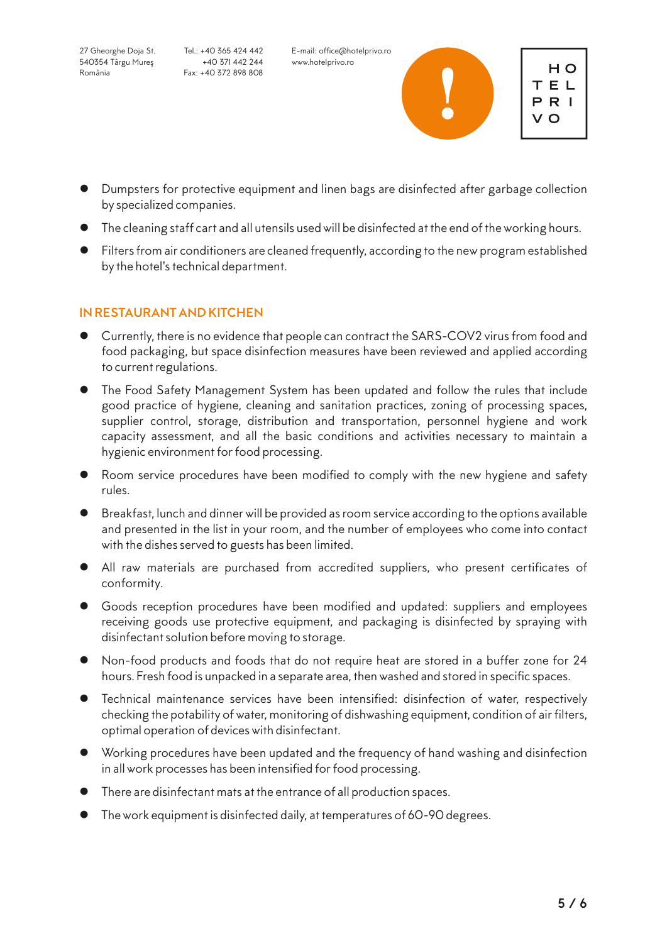Tel.: +40 365 424 442 +40 371 442 244 Fax: +40 372 898 808

E-mail: office@hotelprivo.ro www.hotelprivo.ro



H O TEL PRI

- **•** Dumpsters for protective equipment and linen bags are disinfected after garbage collection by specialized companies.
- $\bullet$  The cleaning staff cart and all utensils used will be disinfected at the end of the working hours.
- **•** Filters from air conditioners are cleaned frequently, according to the new program established by the hotel's technical department.

# **IN RESTAURANT AND KITCHEN**

- **Currently, there is no evidence that people can contract the SARS-COV2 virus from food and** food packaging, but space disinfection measures have been reviewed and applied according to current regulations.
- The Food Safety Management System has been updated and follow the rules that include good practice of hygiene, cleaning and sanitation practices, zoning of processing spaces, supplier control, storage, distribution and transportation, personnel hygiene and work capacity assessment, and all the basic conditions and activities necessary to maintain a hygienic environment for food processing.
- **•** Room service procedures have been modified to comply with the new hygiene and safety rules.
- $\bullet$  Breakfast, lunch and dinner will be provided as room service according to the options available and presented in the list in your room, and the number of employees who come into contact with the dishes served to guests has been limited.
- All raw materials are purchased from accredited suppliers, who present certificates of conformity.
- **•** Goods reception procedures have been modified and updated: suppliers and employees receiving goods use protective equipment, and packaging is disinfected by spraying with disinfectant solution before moving to storage.
- $\bullet$  Non-food products and foods that do not require heat are stored in a buffer zone for 24 hours. Fresh food is unpacked in a separate area, then washed and stored in specific spaces.
- **•** Technical maintenance services have been intensified: disinfection of water, respectively checking the potability of water, monitoring of dishwashing equipment, condition of air filters, optimal operation of devices with disinfectant.
- **•** Working procedures have been updated and the frequency of hand washing and disinfection in all work processes has been intensified for food processing.
- There are disinfectant mats at the entrance of all production spaces.
- $\bullet$  The work equipment is disinfected daily, at temperatures of 60-90 degrees.